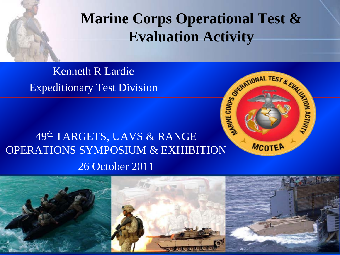#### **Marine Corps Operational Test & Evaluation Activity**

Kenneth R Lardie Expeditionary Test Division

#### 49th TARGETS, UAVS & RANGE OPERATIONS SYMPOSIUM & EXHIBITION 26 October 2011



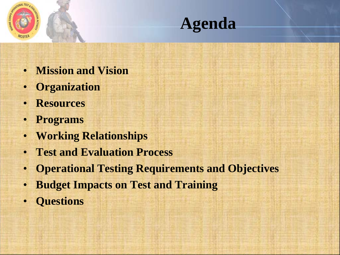



- **Mission and Vision**
- **Organization**
- **Resources**
- **Programs**
- **Working Relationships**
- **Test and Evaluation Process**
- **Operational Testing Requirements and Objectives**
- **Budget Impacts on Test and Training**
- **Questions**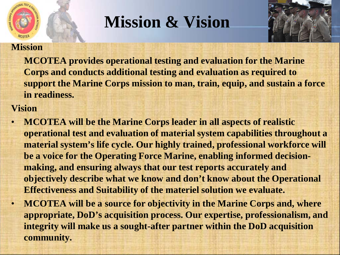

## **Mission & Vision**



#### **Mission**

**MCOTEA provides operational testing and evaluation for the Marine Corps and conducts additional testing and evaluation as required to support the Marine Corps mission to man, train, equip, and sustain a force in readiness.** 

#### **Vision**

- **MCOTEA will be the Marine Corps leader in all aspects of realistic operational test and evaluation of material system capabilities throughout a material system's life cycle. Our highly trained, professional workforce will be a voice for the Operating Force Marine, enabling informed decisionmaking, and ensuring always that our test reports accurately and objectively describe what we know and don't know about the Operational Effectiveness and Suitability of the materiel solution we evaluate.**
- **MCOTEA will be a source for objectivity in the Marine Corps and, where appropriate, DoD's acquisition process. Our expertise, professionalism, and integrity will make us a sought-after partner within the DoD acquisition community.**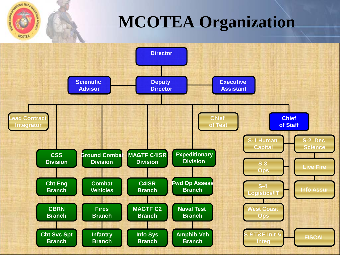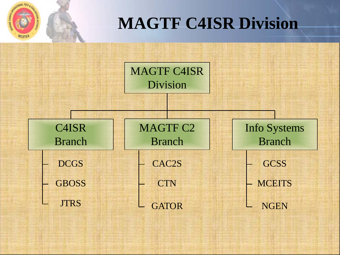

## **MAGTF C4ISR Division**

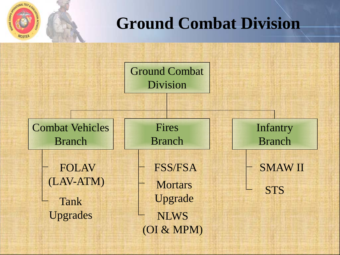

### **Ground Combat Division**

Ground Combat Division

Combat Vehicles Branch

> FOLAV (LAV-ATM) Tank Upgrades – NLWS

Fires Branch

(OI & MPM) **Mortars** Upgrade FSS/FSA

**STS** SMAW II

Infantry

Branch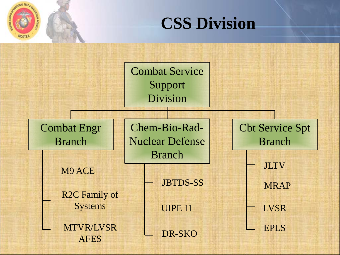

## **CSS Division**

Combat Service Support Division

Combat Engr Branch

M9 ACE

R2C Family of **Systems** 

MTVR/LVSR AFES

Chem-Bio-Rad-Nuclear Defense Branch

JBTDS-SS <u>L</u> MRAP

UIPE I1

DR-SKO

Cbt Service Spt Branch

JLTV

LVSR

EPLS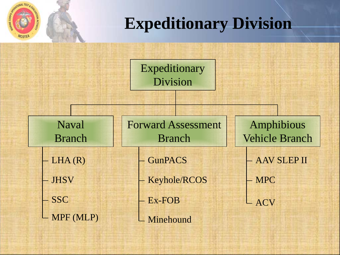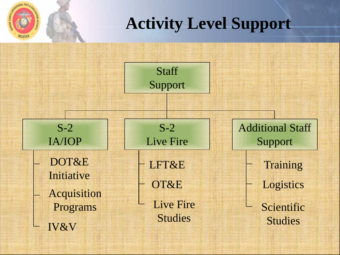

### **Activity Level Support**

**Staff** Support

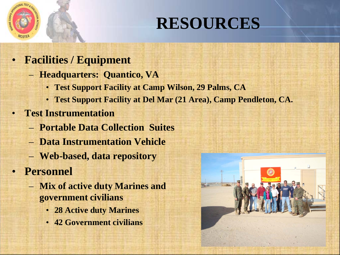

## **RESOURCES**

- **Facilities / Equipment**
	- **Headquarters: Quantico, VA**
		- **Test Support Facility at Camp Wilson, 29 Palms, CA**
		- **Test Support Facility at Del Mar (21 Area), Camp Pendleton, CA.**
	- **Test Instrumentation**
		- **Portable Data Collection Suites**
		- **Data Instrumentation Vehicle**
		- **Web-based, data repository**
- **Personnel**
	- **Mix of active duty Marines and government civilians**
		- **28 Active duty Marines**
		- **42 Government civilians**

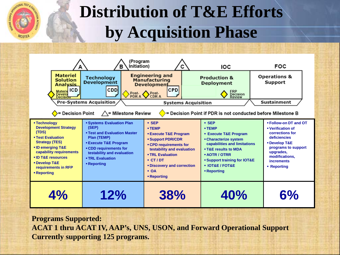

## **Distribution of T&E Efforts by Acquisition Phase**



**Programs Supported:**

**ACAT 1 thru ACAT IV, AAP's, UNS, USON, and Forward Operational Support Currently supporting 125 programs.**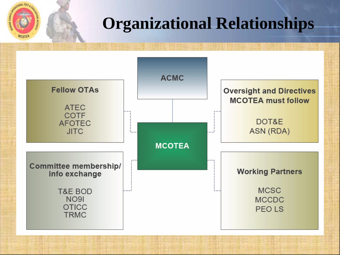

## **Organizational Relationships**

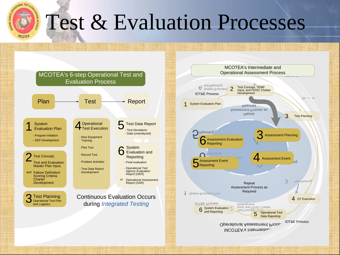

# Test & Evaluation Processes



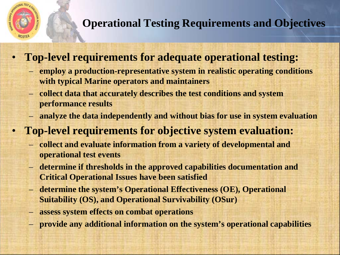

#### **Operational Testing Requirements and Objectives**

- **Top-level requirements for adequate operational testing:**
	- **employ a production-representative system in realistic operating conditions with typical Marine operators and maintainers**
	- **collect data that accurately describes the test conditions and system performance results**
	- **analyze the data independently and without bias for use in system evaluation**
- **Top-level requirements for objective system evaluation:**
	- **collect and evaluate information from a variety of developmental and operational test events**
	- **determine if thresholds in the approved capabilities documentation and Critical Operational Issues have been satisfied**
	- **determine the system's Operational Effectiveness (OE), Operational Suitability (OS), and Operational Survivability (OSur)**
	- **assess system effects on combat operations**
	- **provide any additional information on the system's operational capabilities**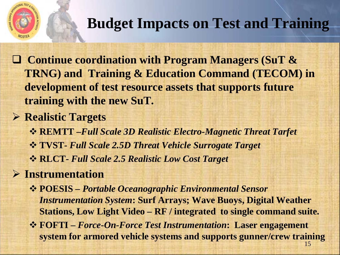

#### **Budget Impacts on Test and Training**

 **Continue coordination with Program Managers (SuT & TRNG) and Training & Education Command (TECOM) in development of test resource assets that supports future training with the new SuT.**

#### **Realistic Targets**

**REMTT –***Full Scale 3D Realistic Electro-Magnetic Threat Tarfet*

- **TVST-** *Full Scale 2.5D Threat Vehicle Surrogate Target*
- **RLCT-** *Full Scale 2.5 Realistic Low Cost Target*

#### **Instrumentation**

- **POESIS –** *Portable Oceanographic Environmental Sensor Instrumentation System***: Surf Arrays; Wave Buoys, Digital Weather Stations, Low Light Video – RF / integrated to single command suite.**
- **FOFTI –** *Force-On-Force Test Instrumentation***: Laser engagement system for armored vehicle systems and supports gunner/crew training**  15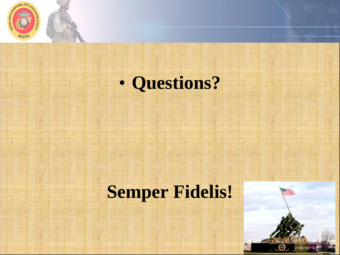

# • **Questions?**

## **Semper Fidelis!**